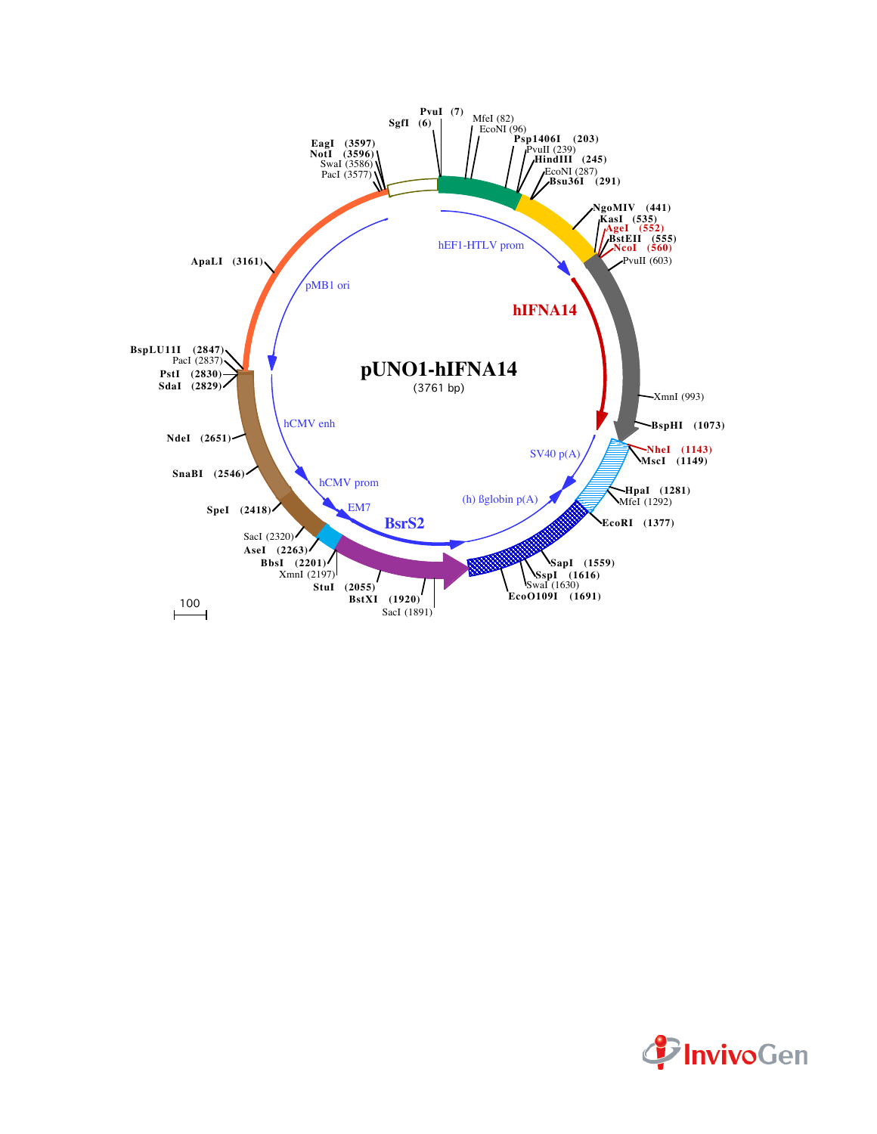

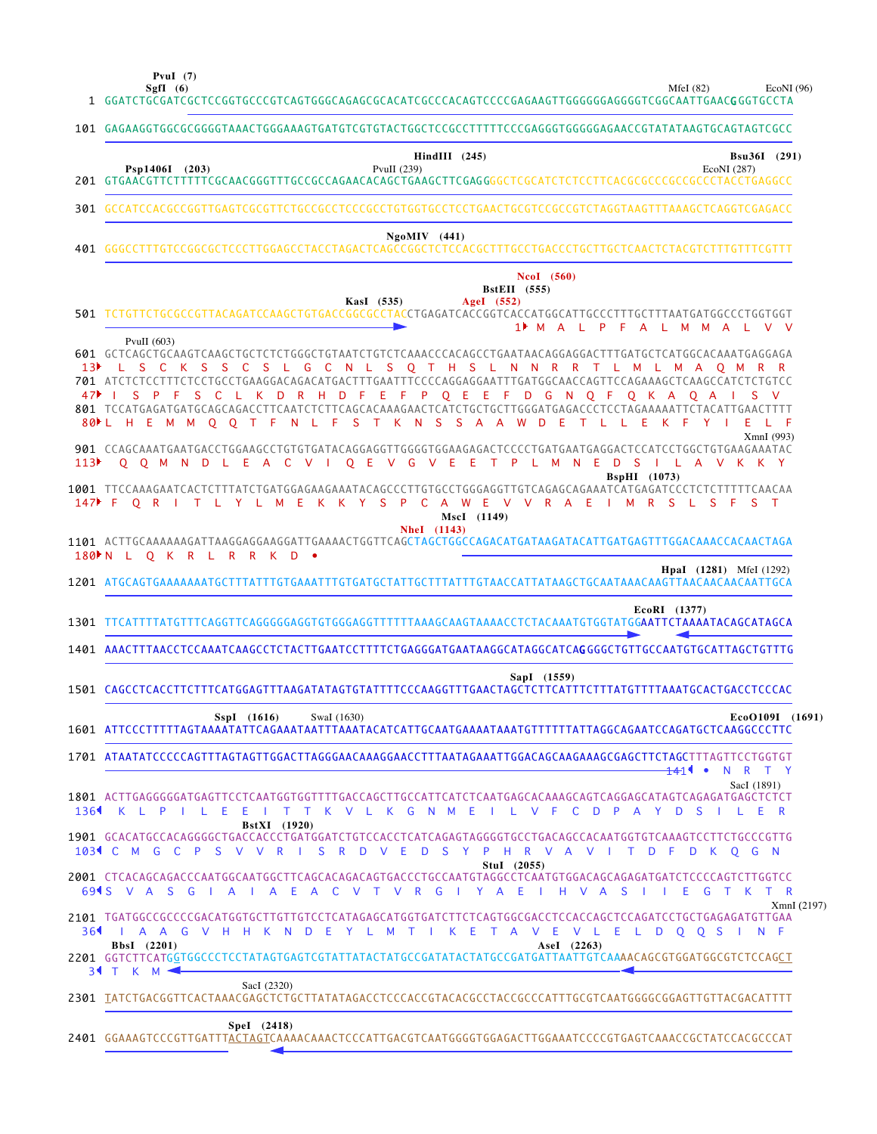**PvuI (7)**

 $\overline{\phantom{a}}$ 

 $\mathcal{L}_{\text{max}}$ 

MfeI (82) EcoNI (96)

|      | SgfI $(6)$<br>MfeI $(82)$<br>1 GGATCTGCGATCGCTCCGGTGCCCGTCAGTGGGCAGAGCGCACATCGCCCACATCCCCCGAGAAGTTGGGGGGAGGGGTCGGCAATTGAAC <b>G</b> GGTGCCTA                                                                                                                                                                                                                                                                                                                                                                                                                             | EcoNI(96)   |
|------|--------------------------------------------------------------------------------------------------------------------------------------------------------------------------------------------------------------------------------------------------------------------------------------------------------------------------------------------------------------------------------------------------------------------------------------------------------------------------------------------------------------------------------------------------------------------------|-------------|
|      | 101 GAGAAGGTGGCGCGGGGTAAACTGGGAAAGTGATGTCGTGTACTGGCTCCGCCTTTTTCCCGAGGGTGGGGGAACCGTATATAAGTGCAGTAGTCGCC                                                                                                                                                                                                                                                                                                                                                                                                                                                                   |             |
|      | $HindIII$ (245)<br>Bsu36I (291)<br>Psp1406I (203)<br>PvuII (239)<br>EcoNI (287)                                                                                                                                                                                                                                                                                                                                                                                                                                                                                          |             |
|      | 301 GCCATCCACGCCGGTTGAGTCGCGTTCTGCCGCCTCCCGCCTGTGGTGCCTCCTGAACTGCGTCCGCCGTCTAGGTAAGTTTAAAGCTCAGGTCGAGACC                                                                                                                                                                                                                                                                                                                                                                                                                                                                 |             |
|      | $NgoMIV$ (441)                                                                                                                                                                                                                                                                                                                                                                                                                                                                                                                                                           |             |
|      | <b>NcoI</b> (560)<br><b>BstEII</b> (555)<br>KasI (535)<br>AgeI (552)<br>501 TCTGTTCTGCGCCGTTACAGATCCAAGCTGTGACCGGCGCCTACCTGAGATCACCGGTCACCATGGCATTGCCCTTTGCTTTAATGATGGCCCTGGTGGT<br>1 MALPFALMMALVV                                                                                                                                                                                                                                                                                                                                                                      |             |
| 47▶  | PvuII $(603)$<br>601 GCTCAGCTGCAAGTCAAGCTGCTCTCTGGGCTGTAATCTGTCTCAAACCCACAGCCTGAATAACAGGAGGACTTTGATGCTCATGGCACAAATGAGGAGA<br>L S C K S S C S L G C N L S Q T H S L N N R R T L M L M A Q M R R<br>701 ATCTCTCCTTTCTCCTGCCTGAAGGACAGACATGACTTTGAATTTCCCCAGGAGGAATTTGATGGCAACCAGTTCCAGAAAGCTCAAGCCATCTCTGTCC<br>S P F S C L K D R H D F E F P Q E E F D G N Q F Q K A Q A<br>801 TCCATGAGATGATGCAGCAGACCTTCAATCTCTTCAGCACAAAGAACTCATCTGCTGCTTGGGATGAGACCCTCCTAGAAAAATTCTACATTGAACTTTT<br>80 L H E M M O O T F N L F S T K N S S A A W D E T L L E<br>K F<br>$Y \cup$<br>E. |             |
| 113  | XmnI (993)<br>O O M N D L E A C V I O E<br>VGVEE<br>T P L M N E D<br>- S<br>ILAVKKY<br><b>BspHI</b> (1073)<br>1001 TTCCAAAGAATCACTCTTTATCTGATGGAGAAGAAATACAGCCCTTGTGCCTGGGAGGTTGTCAGAGCAGAAATCATGAGATCCCTCTCTTTTTCAACAA<br>147▶ F O R I T L Y L M E K K Y S P C A W E V V R A E<br>M R S L S F S T<br><b>College</b>                                                                                                                                                                                                                                                     |             |
|      | MscI (1149)<br><b>NheI</b> (1143)<br>180 N L O K R L R R K D .<br><b>HpaI</b> (1281) MfeI (1292)                                                                                                                                                                                                                                                                                                                                                                                                                                                                         |             |
|      | 1201 ATGCAGTGAAAAAAATGCTTTATTTGTGAAATTTGTGATGCTATTGCTTTATTTGTAACCATTATAAGCTGCAATAAACAAGTTAACAACAACAATTGCA<br>EcoRI (1377)<br>1301 TTCATTTTATGTTTCAGGTTCAGGGGGGAGGTGTGGGAGGTTTTTTTAAAGCAAGTAAAACCTCTACAAATGTGGTATGG <b>AATTCTAAAATACAGCATAGCA</b>                                                                                                                                                                                                                                                                                                                         |             |
|      | 1401 AAACTTTAACCTCCAAATCAAGCCTCTACTTGAATCCTTTTCTGAGGGATGAATAAGGCATAGGCATCAGGGGCTGTTGCCAATGTGCATTAGCTGTTTG                                                                                                                                                                                                                                                                                                                                                                                                                                                                |             |
|      | SapI (1559)<br>1501 CAGCCTCACCTTCTTTCATGGAGTTTAAGATATAGTGTATTTTCCCAAGGTTTGAACTAGCTCTTCATTTCTTTATGTTTTAAATGCACTGACCTCCCAC                                                                                                                                                                                                                                                                                                                                                                                                                                                 |             |
|      | EcoO109I (1691)<br>$SspI$ (1616)<br>SwaI (1630)                                                                                                                                                                                                                                                                                                                                                                                                                                                                                                                          |             |
|      | 1701 ATAATATCCCCCAGTTTAGTAGTTGGACTTAGGGAACAAAGGAACCTTTAATAGAAATTGGACAGCAAGAAAGCGAGCTTCTAGCTTTAGTTCCTGGTGT<br><del>14</del> 11 •<br>N R T Y                                                                                                                                                                                                                                                                                                                                                                                                                               |             |
| 1364 | SacI (1891)<br>1801 ACTTGAGGGGGATGAGTTCCTCAATGGTGGTTTTGACCAGCTTGCCATTCATCTCAATGAGCACAAAGCAGTCAGGAGCATAGTCAGAGATGAGCTCTCT<br>I T T K V L K G N M E<br>I L V F C D P A Y D S I L E R<br>KLPILEE                                                                                                                                                                                                                                                                                                                                                                            |             |
|      | BstXI (1920)<br>1901 GCACATGCCACAGGGGCTGACCACCCTGATGGATCTGTCCACCTCATCAGAGTAGGGGTGCCTGACAGCCACAATGGTGTCAAAGTCCTTCTGCCCGTTG<br>103 CM GC P S V V R I S R D V E D S Y P H R V A V I T D F D K Q G N                                                                                                                                                                                                                                                                                                                                                                         |             |
|      | Stul (2055)<br>694 SVASGIAIA EACVTVRGIYA EIHVAS<br>E.<br>G<br>T K<br>- 11<br>- 11                                                                                                                                                                                                                                                                                                                                                                                                                                                                                        | T R         |
|      | 2101 TGATGGCCGCCCGACATGGTGCTTGTTGTCCTCATAGAGCATGGTGATCTTCTCAGTGGCGACCTCCACCAGCTCCAGATCCTGCTGAGAGATGTTGAA<br>36 I A A G V H H K N D E Y L M T I K E T A V E V L E L D Q Q S I N F                                                                                                                                                                                                                                                                                                                                                                                         | XmnI (2197) |
|      | BbsI (2201)<br>AseI (2263)<br>2201 GGTCTTCATGGTGGCCCTCCTATAGTGAGTCGTATTATACTATGCCGGATATACTATGCCGATGATTAATTGTCAAAACAGCGTGGATGGCGTCTCCAGCT<br>34 T K M 4                                                                                                                                                                                                                                                                                                                                                                                                                   |             |
|      | SacI (2320)<br>2301 TATCTGACGGTTCACTAAACGAGCTCTGCTTATATAGACCTCCCACCGTACACGCCTACCGCCCATTTGCGTCAATGGGGCGGAGTTGTTACGACATTTT                                                                                                                                                                                                                                                                                                                                                                                                                                                 |             |
|      | Spel (2418)<br>2401 GGAAAGTCCCGTTGATTTACTAGTCAAAACAAACTCCCATTGACGTCAATGGGGTGGAGACTTGGAAATCCCCGTGAGTCAAACCGCTATCCACGCCCAT                                                                                                                                                                                                                                                                                                                                                                                                                                                 |             |